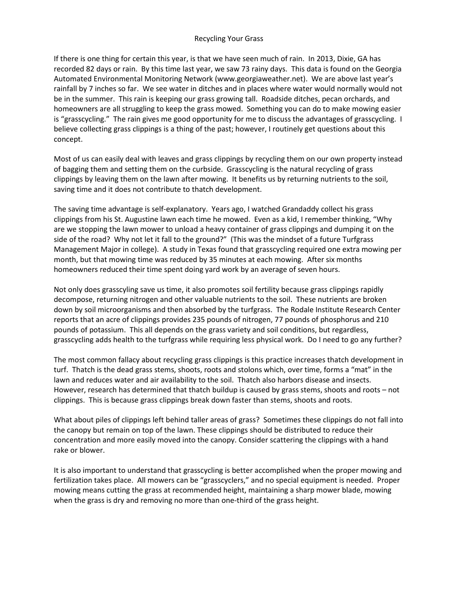## Recycling Your Grass

If there is one thing for certain this year, is that we have seen much of rain. In 2013, Dixie, GA has recorded 82 days or rain. By this time last year, we saw 73 rainy days. This data is found on the Georgia Automated Environmental Monitoring Network (www.georgiaweather.net). We are above last year's rainfall by 7 inches so far. We see water in ditches and in places where water would normally would not be in the summer. This rain is keeping our grass growing tall. Roadside ditches, pecan orchards, and homeowners are all struggling to keep the grass mowed. Something you can do to make mowing easier is "grasscycling." The rain gives me good opportunity for me to discuss the advantages of grasscycling. I believe collecting grass clippings is a thing of the past; however, I routinely get questions about this concept.

Most of us can easily deal with leaves and grass clippings by recycling them on our own property instead of bagging them and setting them on the curbside. Grasscycling is the natural recycling of grass clippings by leaving them on the lawn after mowing. It benefits us by returning nutrients to the soil, saving time and it does not contribute to thatch development.

The saving time advantage is self-explanatory. Years ago, I watched Grandaddy collect his grass clippings from his St. Augustine lawn each time he mowed. Even as a kid, I remember thinking, "Why are we stopping the lawn mower to unload a heavy container of grass clippings and dumping it on the side of the road? Why not let it fall to the ground?" (This was the mindset of a future Turfgrass Management Major in college). A study in Texas found that grasscycling required one extra mowing per month, but that mowing time was reduced by 35 minutes at each mowing. After six months homeowners reduced their time spent doing yard work by an average of seven hours.

Not only does grasscyling save us time, it also promotes soil fertility because grass clippings rapidly decompose, returning nitrogen and other valuable nutrients to the soil. These nutrients are broken down by soil microorganisms and then absorbed by the turfgrass. The Rodale Institute Research Center reports that an acre of clippings provides 235 pounds of nitrogen, 77 pounds of phosphorus and 210 pounds of potassium. This all depends on the grass variety and soil conditions, but regardless, grasscycling adds health to the turfgrass while requiring less physical work. Do I need to go any further?

The most common fallacy about recycling grass clippings is this practice increases thatch development in turf. Thatch is the dead grass stems, shoots, roots and stolons which, over time, forms a "mat" in the lawn and reduces water and air availability to the soil. Thatch also harbors disease and insects. However, research has determined that thatch buildup is caused by grass stems, shoots and roots – not clippings. This is because grass clippings break down faster than stems, shoots and roots.

What about piles of clippings left behind taller areas of grass? Sometimes these clippings do not fall into the canopy but remain on top of the lawn. These clippings should be distributed to reduce their concentration and more easily moved into the canopy. Consider scattering the clippings with a hand rake or blower.

It is also important to understand that grasscycling is better accomplished when the proper mowing and fertilization takes place. All mowers can be "grasscyclers," and no special equipment is needed. Proper mowing means cutting the grass at recommended height, maintaining a sharp mower blade, mowing when the grass is dry and removing no more than one-third of the grass height.